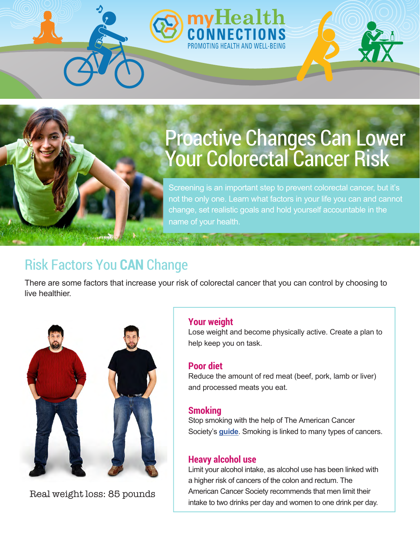# Proactive Changes Can Lower Your Colorectal Cancer Risk

Screening is an important step to prevent colorectal cancer, but it's not the only one. Learn what factors in your life you can and cannot change, set realistic goals and hold yourself accountable in the name of your health.

# Risk Factors You **CAN** Change

There are some factors that increase your risk of colorectal cancer that you can control by choosing to live healthier.



Real weight loss: 85 pounds

#### **Your weight**

Lose weight and become physically active. Create a plan to help keep you on task.

#### **Poor diet**

Reduce the amount of red meat (beef, pork, lamb or liver) and processed meats you eat.

#### **Smoking**

Stop smoking with the help of The American Cancer Society's **[guide](https://www.cancer.org/content/cancer/en/healthy/stay-away-from-tobacco/guide-quitting-smoking.html)**. Smoking is linked to many types of cancers.

#### **Heavy alcohol use**

Limit your alcohol intake, as alcohol use has been linked with a higher risk of cancers of the colon and rectum. The American Cancer Society recommends that men limit their intake to two drinks per day and women to one drink per day.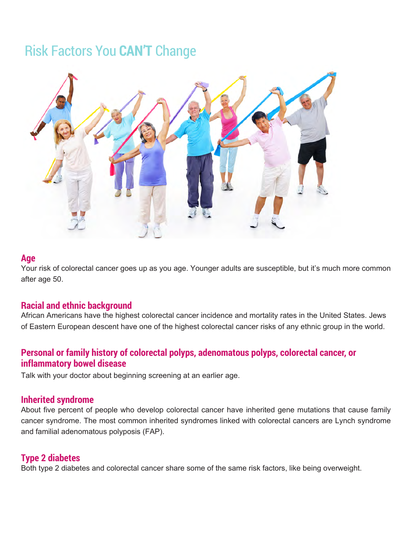### Risk Factors You **CAN'T** Change



#### **Age**

Your risk of colorectal cancer goes up as you age. Younger adults are susceptible, but it's much more common after age 50.

#### **Racial and ethnic background**

African Americans have the highest colorectal cancer incidence and mortality rates in the United States. Jews of Eastern European descent have one of the highest colorectal cancer risks of any ethnic group in the world.

#### **Personal or family history of colorectal polyps, adenomatous polyps, colorectal cancer, or inflammatory bowel disease**

Talk with your doctor about beginning screening at an earlier age.

#### **Inherited syndrome**

About five percent of people who develop colorectal cancer have inherited gene mutations that cause family cancer syndrome. The most common inherited syndromes linked with colorectal cancers are Lynch syndrome and familial adenomatous polyposis (FAP).

#### **Type 2 diabetes**

Both type 2 diabetes and colorectal cancer share some of the same risk factors, like being overweight.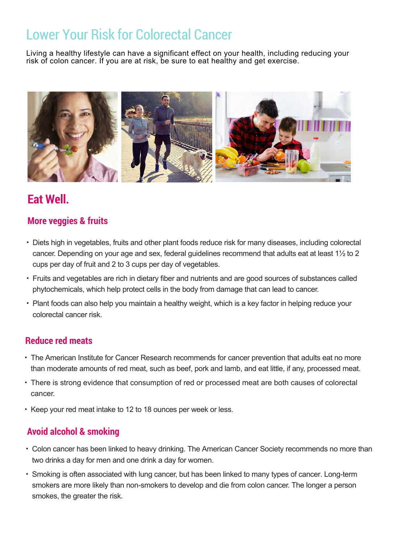## Lower Your Risk for Colorectal Cancer

Living a healthy lifestyle can have a significant effect on your health, including reducing your risk of colon cancer. If you are at risk, be sure to eat healthy and get exercise.



### **Eat Well.**

#### **More veggies & fruits**

- Diets high in vegetables, fruits and other plant foods reduce risk for many diseases, including colorectal cancer. Depending on your age and sex, federal guidelines recommend that adults eat at least 1½ to 2 cups per day of fruit and 2 to 3 cups per day of vegetables.
- Fruits and vegetables are rich in dietary fiber and nutrients and are good sources of substances called phytochemicals, which help protect cells in the body from damage that can lead to cancer.
- Plant foods can also help you maintain a healthy weight, which is a key factor in helping reduce your colorectal cancer risk.

#### **Reduce red meats**

- The American Institute for Cancer Research recommends for cancer prevention that adults eat no more than moderate amounts of red meat, such as beef, pork and lamb, and eat little, if any, processed meat.
- There is strong evidence that consumption of red or processed meat are both causes of colorectal cancer.
- Keep your red meat intake to 12 to 18 ounces per week or less.

#### **Avoid alcohol & smoking**

- Colon cancer has been linked to heavy drinking. The American Cancer Society recommends no more than two drinks a day for men and one drink a day for women.
- Smoking is often associated with lung cancer, but has been linked to many types of cancer. Long-term smokers are more likely than non-smokers to develop and die from colon cancer. The longer a person smokes, the greater the risk.